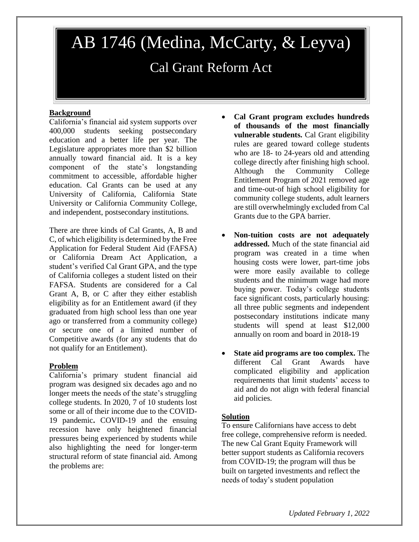# AB 1746 (Medina, McCarty, & Leyva)

# Cal Grant Reform Act

## **Background**

California's financial aid system supports over 400,000 students seeking postsecondary education and a better life per year. The Legislature appropriates more than \$2 billion annually toward financial aid. It is a key component of the state's longstanding commitment to accessible, affordable higher education. Cal Grants can be used at any University of California, California State University or California Community College, and independent, postsecondary institutions.

There are three kinds of Cal Grants, A, B and C, of which eligibility is determined by the Free Application for Federal Student Aid (FAFSA) or California Dream Act Application, a student's verified Cal Grant GPA, and the type of California colleges a student listed on their FAFSA. Students are considered for a Cal Grant A, B, or C after they either establish eligibility as for an Entitlement award (if they graduated from high school less than one year ago or transferred from a community college) or secure one of a limited number of Competitive awards (for any students that do not qualify for an Entitlement).

### **Problem**

California's primary student financial aid program was designed six decades ago and no longer meets the needs of the state's struggling college students. In 2020, 7 of 10 students lost some or all of their income due to the COVID-19 pandemic**.** COVID-19 and the ensuing recession have only heightened financial pressures being experienced by students while also highlighting the need for longer-term structural reform of state financial aid. Among the problems are:

- **Cal Grant program excludes hundreds of thousands of the most financially vulnerable students.** Cal Grant eligibility rules are geared toward college students who are 18- to 24-years old and attending college directly after finishing high school. Although the Community College Entitlement Program of 2021 removed age and time-out-of high school eligibility for community college students, adult learners are still overwhelmingly excluded from Cal Grants due to the GPA barrier.
- **Non-tuition costs are not adequately addressed.** Much of the state financial aid program was created in a time when housing costs were lower, part-time jobs were more easily available to college students and the minimum wage had more buying power. Today's college students face significant costs, particularly housing: all three public segments and independent postsecondary institutions indicate many students will spend at least \$12,000 annually on room and board in 2018-19
- **State aid programs are too complex.** The different Cal Grant Awards have complicated eligibility and application requirements that limit students' access to aid and do not align with federal financial aid policies.

### **Solution**

To ensure Californians have access to debt free college, comprehensive reform is needed. The new Cal Grant Equity Framework will better support students as California recovers from COVID-19; the program will thus be built on targeted investments and reflect the needs of today's student population